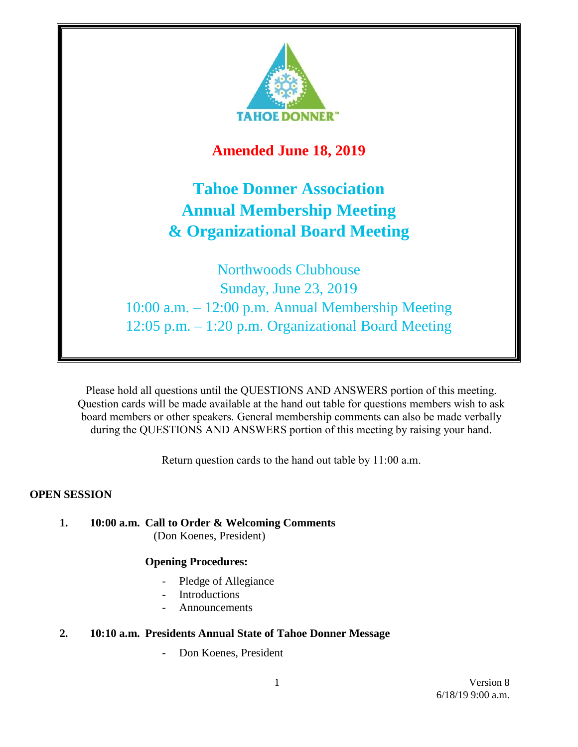

# **Amended June 18, 2019**

# **Tahoe Donner Association Annual Membership Meeting & Organizational Board Meeting**

Northwoods Clubhouse Sunday, June 23, 2019 10:00 a.m. – 12:00 p.m. Annual Membership Meeting 12:05 p.m. – 1:20 p.m. Organizational Board Meeting

Please hold all questions until the QUESTIONS AND ANSWERS portion of this meeting. Question cards will be made available at the hand out table for questions members wish to ask board members or other speakers. General membership comments can also be made verbally during the QUESTIONS AND ANSWERS portion of this meeting by raising your hand.

Return question cards to the hand out table by 11:00 a.m.

#### **OPEN SESSION**

**1. 10:00 a.m. Call to Order & Welcoming Comments** (Don Koenes, President)

#### **Opening Procedures:**

- Pledge of Allegiance
- Introductions
- **Announcements**

### **2. 10:10 a.m. Presidents Annual State of Tahoe Donner Message**

Don Koenes, President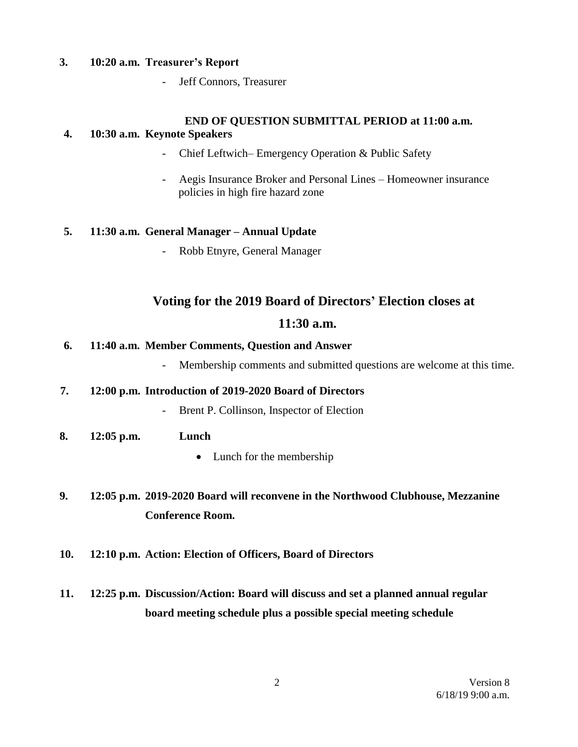#### **3. 10:20 a.m. Treasurer's Report**

- Jeff Connors, Treasurer

# **END OF QUESTION SUBMITTAL PERIOD at 11:00 a.m.**

#### **4. 10:30 a.m. Keynote Speakers**

- Chief Leftwich– Emergency Operation & Public Safety
- Aegis Insurance Broker and Personal Lines Homeowner insurance policies in high fire hazard zone

#### **5. 11:30 a.m. General Manager – Annual Update**

- Robb Etnyre, General Manager

## **Voting for the 2019 Board of Directors' Election closes at**

### **11:30 a.m.**

#### **6. 11:40 a.m. Member Comments, Question and Answer**

- Membership comments and submitted questions are welcome at this time.

#### **7. 12:00 p.m. Introduction of 2019-2020 Board of Directors**

- Brent P. Collinson, Inspector of Election
- **8. 12:05 p.m. Lunch**
	- Lunch for the membership
- **9. 12:05 p.m. 2019-2020 Board will reconvene in the Northwood Clubhouse, Mezzanine Conference Room.**
- **10. 12:10 p.m. Action: Election of Officers, Board of Directors**
- **11. 12:25 p.m. Discussion/Action: Board will discuss and set a planned annual regular board meeting schedule plus a possible special meeting schedule**